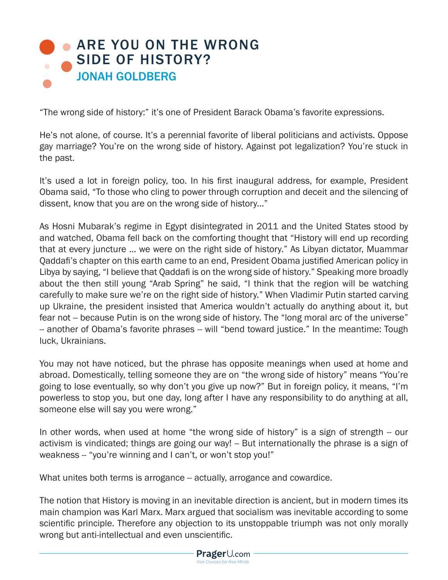## **• [ARE YOU ON THE WRONG](http://www.prageru.com/Political-Science/Are-You-on-the-Wrong-Side-of-History.html)** SIDE OF HISTORY? JONAH GOLDBERG

"The wrong side of history:" it's one of President Barack Obama's favorite expressions.

He's not alone, of course. It's a perennial favorite of liberal politicians and activists. Oppose gay marriage? You're on the wrong side of history. Against pot legalization? You're stuck in the past.

It's used a lot in foreign policy, too. In his first inaugural address, for example, President Obama said, "To those who cling to power through corruption and deceit and the silencing of dissent, know that you are on the wrong side of history..."

As Hosni Mubarak's regime in Egypt disintegrated in 2011 and the United States stood by and watched, Obama fell back on the comforting thought that "History will end up recording that at every juncture ... we were on the right side of history." As Libyan dictator, Muammar Qaddafi's chapter on this earth came to an end, President Obama justified American policy in Libya by saying, "I believe that Qaddafi is on the wrong side of history." Speaking more broadly about the then still young "Arab Spring" he said, "I think that the region will be watching carefully to make sure we're on the right side of history." When Vladimir Putin started carving up Ukraine, the president insisted that America wouldn't actually do anything about it, but fear not -- because Putin is on the wrong side of history. The "long moral arc of the universe" -- another of Obama's favorite phrases -- will "bend toward justice." In the meantime: Tough luck, Ukrainians.

You may not have noticed, but the phrase has opposite meanings when used at home and abroad. Domestically, telling someone they are on "the wrong side of history" means "You're going to lose eventually, so why don't you give up now?" But in foreign policy, it means, "I'm powerless to stop you, but one day, long after I have any responsibility to do anything at all, someone else will say you were wrong."

In other words, when used at home "the wrong side of history" is a sign of strength -- our activism is vindicated; things are going our way! -- But internationally the phrase is a sign of weakness -- "you're winning and I can't, or won't stop you!"

What unites both terms is arrogance -- actually, arrogance and cowardice.

The notion that History is moving in an inevitable direction is ancient, but in modern times its main champion was Karl Marx. Marx argued that socialism was inevitable according to some scientific principle. Therefore any objection to its unstoppable triumph was not only morally wrong but anti-intellectual and even unscientific.